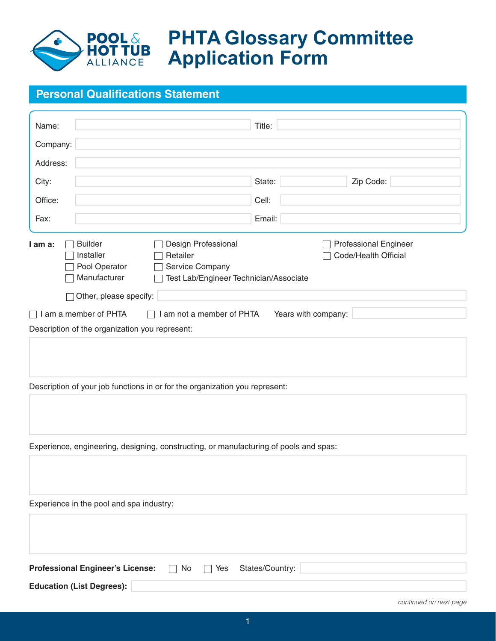

## **PHTA Glossary Committee Application Form**

## **Personal Qualifications Statement**

| Name:                                                                                                                                                                                                                                                     | Title:              |  |  |  |  |
|-----------------------------------------------------------------------------------------------------------------------------------------------------------------------------------------------------------------------------------------------------------|---------------------|--|--|--|--|
| Company:                                                                                                                                                                                                                                                  |                     |  |  |  |  |
| Address:                                                                                                                                                                                                                                                  |                     |  |  |  |  |
| City:                                                                                                                                                                                                                                                     | State:<br>Zip Code: |  |  |  |  |
| Office:                                                                                                                                                                                                                                                   | Cell:               |  |  |  |  |
| Fax:                                                                                                                                                                                                                                                      | Email:              |  |  |  |  |
| Design Professional<br><b>Professional Engineer</b><br><b>Builder</b><br>I am a:<br>Code/Health Official<br>Installer<br>Retailer<br>Pool Operator<br>Service Company<br>Manufacturer<br>Test Lab/Engineer Technician/Associate<br>Other, please specify: |                     |  |  |  |  |
| I am a member of PHTA<br>I am not a member of PHTA                                                                                                                                                                                                        | Years with company: |  |  |  |  |
| Description of the organization you represent:                                                                                                                                                                                                            |                     |  |  |  |  |
|                                                                                                                                                                                                                                                           |                     |  |  |  |  |
| Description of your job functions in or for the organization you represent:                                                                                                                                                                               |                     |  |  |  |  |
| Experience, engineering, designing, constructing, or manufacturing of pools and spas:                                                                                                                                                                     |                     |  |  |  |  |
|                                                                                                                                                                                                                                                           |                     |  |  |  |  |
| Experience in the pool and spa industry:                                                                                                                                                                                                                  |                     |  |  |  |  |
|                                                                                                                                                                                                                                                           |                     |  |  |  |  |
| States/Country:<br><b>Professional Engineer's License:</b><br>No<br>Yes                                                                                                                                                                                   |                     |  |  |  |  |
| <b>Education (List Degrees):</b>                                                                                                                                                                                                                          |                     |  |  |  |  |
|                                                                                                                                                                                                                                                           |                     |  |  |  |  |